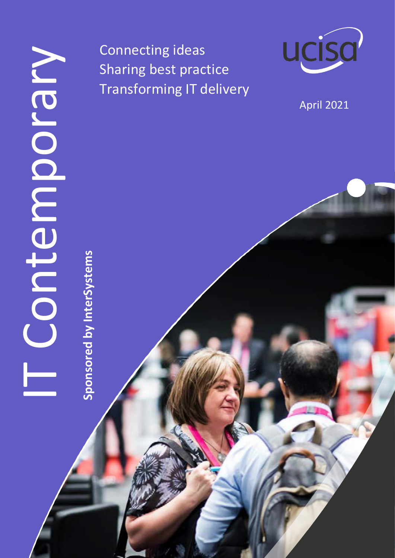**Sponsored by InterSystems**

Sponsored by InterSystems

Connecting ideas Sharing best practice Transforming IT delivery



April 2021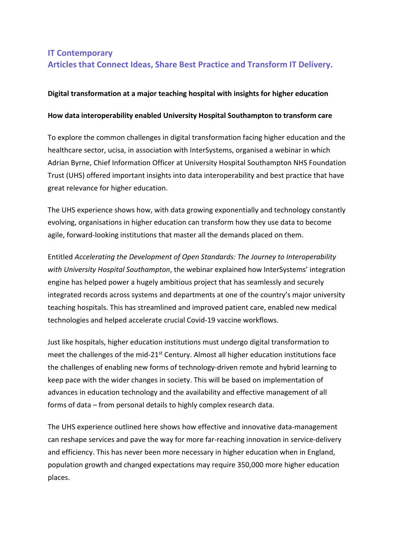# **IT Contemporary Articles that Connect Ideas, Share Best Practice and Transform IT Delivery.**

# **Digital transformation at a major teaching hospital with insights for higher education**

## **How data interoperability enabled University Hospital Southampton to transform care**

To explore the common challenges in digital transformation facing higher education and the healthcare sector, ucisa, in association with InterSystems, organised a webinar in which Adrian Byrne, Chief Information Officer at University Hospital Southampton NHS Foundation Trust (UHS) offered important insights into data interoperability and best practice that have great relevance for higher education.

The UHS experience shows how, with data growing exponentially and technology constantly evolving, organisations in higher education can transform how they use data to become agile, forward-looking institutions that master all the demands placed on them.

Entitled *Accelerating the Development of Open Standards: The Journey to Interoperability with University Hospital Southampton*, the webinar explained how InterSystems' integration engine has helped power a hugely ambitious project that has seamlessly and securely integrated records across systems and departments at one of the country's major university teaching hospitals. This has streamlined and improved patient care, enabled new medical technologies and helped accelerate crucial Covid-19 vaccine workflows.

Just like hospitals, higher education institutions must undergo digital transformation to meet the challenges of the mid-21<sup>st</sup> Century. Almost all higher education institutions face the challenges of enabling new forms of technology-driven remote and hybrid learning to keep pace with the wider changes in society. This will be based on implementation of advances in education technology and the availability and effective management of all forms of data – from personal details to highly complex research data.

The UHS experience outlined here shows how effective and innovative data-management can reshape services and pave the way for more far-reaching innovation in service-delivery and efficiency. This has never been more necessary in higher education when in England, population growth and changed expectations may require 350,000 more higher education places.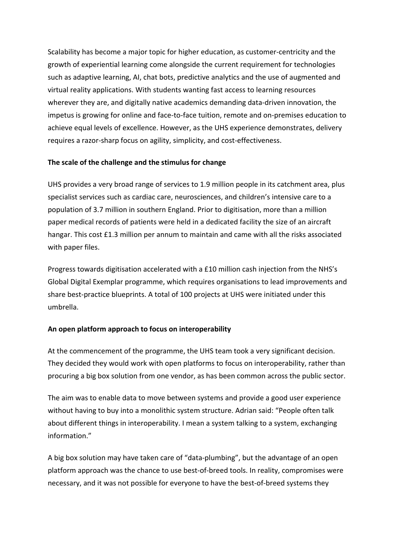Scalability has become a major topic for higher education, as customer-centricity and the growth of experiential learning come alongside the current requirement for technologies such as adaptive learning, AI, chat bots, predictive analytics and the use of augmented and virtual reality applications. With students wanting fast access to learning resources wherever they are, and digitally native academics demanding data-driven innovation, the impetus is growing for online and face-to-face tuition, remote and on-premises education to achieve equal levels of excellence. However, as the UHS experience demonstrates, delivery requires a razor-sharp focus on agility, simplicity, and cost-effectiveness.

# **The scale of the challenge and the stimulus for change**

UHS provides a very broad range of services to 1.9 million people in its catchment area, plus specialist services such as cardiac care, neurosciences, and children's intensive care to a population of 3.7 million in southern England. Prior to digitisation, more than a million paper medical records of patients were held in a dedicated facility the size of an aircraft hangar. This cost £1.3 million per annum to maintain and came with all the risks associated with paper files.

Progress towards digitisation accelerated with a £10 million cash injection from the NHS's Global Digital Exemplar programme, which requires organisations to lead improvements and share best-practice blueprints. A total of 100 projects at UHS were initiated under this umbrella.

# **An open platform approach to focus on interoperability**

At the commencement of the programme, the UHS team took a very significant decision. They decided they would work with open platforms to focus on interoperability, rather than procuring a big box solution from one vendor, as has been common across the public sector.

The aim was to enable data to move between systems and provide a good user experience without having to buy into a monolithic system structure. Adrian said: "People often talk about different things in interoperability. I mean a system talking to a system, exchanging information."

A big box solution may have taken care of "data-plumbing", but the advantage of an open platform approach was the chance to use best-of-breed tools. In reality, compromises were necessary, and it was not possible for everyone to have the best-of-breed systems they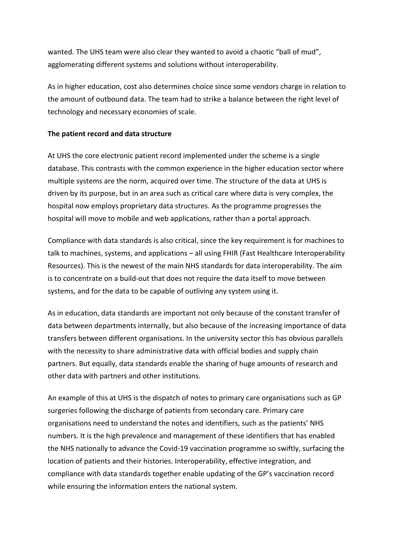wanted. The UHS team were also clear they wanted to avoid a chaotic "ball of mud", agglomerating different systems and solutions without interoperability.

As in higher education, cost also determines choice since some vendors charge in relation to the amount of outbound data. The team had to strike a balance between the right level of technology and necessary economies of scale.

## **The patient record and data structure**

At UHS the core electronic patient record implemented under the scheme is a single database. This contrasts with the common experience in the higher education sector where multiple systems are the norm, acquired over time. The structure of the data at UHS is driven by its purpose, but in an area such as critical care where data is very complex, the hospital now employs proprietary data structures. As the programme progresses the hospital will move to mobile and web applications, rather than a portal approach.

Compliance with data standards is also critical, since the key requirement is for machines to talk to machines, systems, and applications – all using FHIR (Fast Healthcare Interoperability Resources). This is the newest of the main NHS standards for data interoperability. The aim is to concentrate on a build-out that does not require the data itself to move between systems, and for the data to be capable of outliving any system using it.

As in education, data standards are important not only because of the constant transfer of data between departments internally, but also because of the increasing importance of data transfers between different organisations. In the university sector this has obvious parallels with the necessity to share administrative data with official bodies and supply chain partners. But equally, data standards enable the sharing of huge amounts of research and other data with partners and other institutions.

An example of this at UHS is the dispatch of notes to primary care organisations such as GP surgeries following the discharge of patients from secondary care. Primary care organisations need to understand the notes and identifiers, such as the patients' NHS numbers. It is the high prevalence and management of these identifiers that has enabled the NHS nationally to advance the Covid-19 vaccination programme so swiftly, surfacing the location of patients and their histories. Interoperability, effective integration, and compliance with data standards together enable updating of the GP's vaccination record while ensuring the information enters the national system.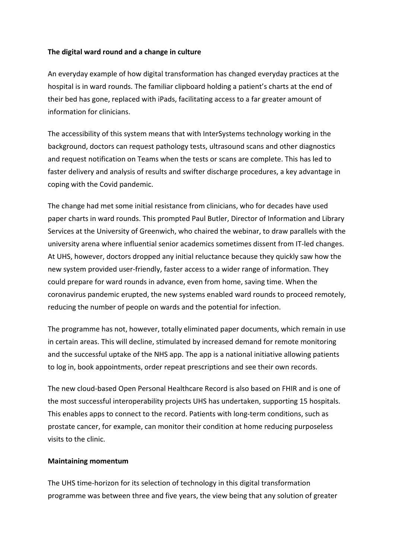#### **The digital ward round and a change in culture**

An everyday example of how digital transformation has changed everyday practices at the hospital is in ward rounds. The familiar clipboard holding a patient's charts at the end of their bed has gone, replaced with iPads, facilitating access to a far greater amount of information for clinicians.

The accessibility of this system means that with InterSystems technology working in the background, doctors can request pathology tests, ultrasound scans and other diagnostics and request notification on Teams when the tests or scans are complete. This has led to faster delivery and analysis of results and swifter discharge procedures, a key advantage in coping with the Covid pandemic.

The change had met some initial resistance from clinicians, who for decades have used paper charts in ward rounds. This prompted Paul Butler, Director of Information and Library Services at the University of Greenwich, who chaired the webinar, to draw parallels with the university arena where influential senior academics sometimes dissent from IT-led changes. At UHS, however, doctors dropped any initial reluctance because they quickly saw how the new system provided user-friendly, faster access to a wider range of information. They could prepare for ward rounds in advance, even from home, saving time. When the coronavirus pandemic erupted, the new systems enabled ward rounds to proceed remotely, reducing the number of people on wards and the potential for infection.

The programme has not, however, totally eliminated paper documents, which remain in use in certain areas. This will decline, stimulated by increased demand for remote monitoring and the successful uptake of the NHS app. The app is a national initiative allowing patients to log in, book appointments, order repeat prescriptions and see their own records.

The new cloud-based Open Personal Healthcare Record is also based on FHIR and is one of the most successful interoperability projects UHS has undertaken, supporting 15 hospitals. This enables apps to connect to the record. Patients with long-term conditions, such as prostate cancer, for example, can monitor their condition at home reducing purposeless visits to the clinic.

#### **Maintaining momentum**

The UHS time-horizon for its selection of technology in this digital transformation programme was between three and five years, the view being that any solution of greater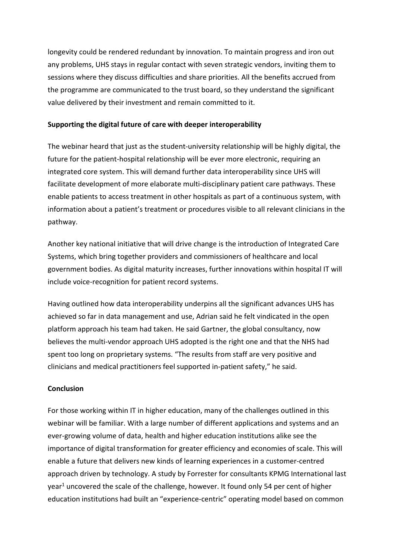longevity could be rendered redundant by innovation. To maintain progress and iron out any problems, UHS stays in regular contact with seven strategic vendors, inviting them to sessions where they discuss difficulties and share priorities. All the benefits accrued from the programme are communicated to the trust board, so they understand the significant value delivered by their investment and remain committed to it.

## **Supporting the digital future of care with deeper interoperability**

The webinar heard that just as the student-university relationship will be highly digital, the future for the patient-hospital relationship will be ever more electronic, requiring an integrated core system. This will demand further data interoperability since UHS will facilitate development of more elaborate multi-disciplinary patient care pathways. These enable patients to access treatment in other hospitals as part of a continuous system, with information about a patient's treatment or procedures visible to all relevant clinicians in the pathway.

Another key national initiative that will drive change is the introduction of Integrated Care Systems, which bring together providers and commissioners of healthcare and local government bodies. As digital maturity increases, further innovations within hospital IT will include voice-recognition for patient record systems.

Having outlined how data interoperability underpins all the significant advances UHS has achieved so far in data management and use, Adrian said he felt vindicated in the open platform approach his team had taken. He said Gartner, the global consultancy, now believes the multi-vendor approach UHS adopted is the right one and that the NHS had spent too long on proprietary systems. "The results from staff are very positive and clinicians and medical practitioners feel supported in-patient safety," he said.

#### **Conclusion**

For those working within IT in higher education, many of the challenges outlined in this webinar will be familiar. With a large number of different applications and systems and an ever-growing volume of data, health and higher education institutions alike see the importance of digital transformation for greater efficiency and economies of scale. This will enable a future that delivers new kinds of learning experiences in a customer-centred approach driven by technology. A study by Forrester for consultants KPMG International last year<sup>1</sup> uncovered the scale of the challenge, however. It found only 54 per cent of higher education institutions had built an "experience-centric" operating model based on common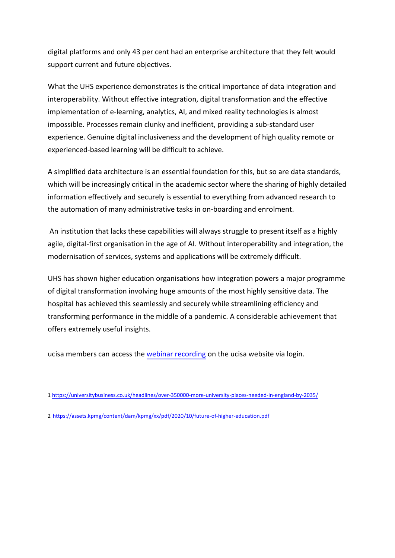digital platforms and only 43 per cent had an enterprise architecture that they felt would support current and future objectives.

What the UHS experience demonstrates is the critical importance of data integration and interoperability. Without effective integration, digital transformation and the effective implementation of e-learning, analytics, AI, and mixed reality technologies is almost impossible. Processes remain clunky and inefficient, providing a sub-standard user experience. Genuine digital inclusiveness and the development of high quality remote or experienced-based learning will be difficult to achieve.

A simplified data architecture is an essential foundation for this, but so are data standards, which will be increasingly critical in the academic sector where the sharing of highly detailed information effectively and securely is essential to everything from advanced research to the automation of many administrative tasks in on-boarding and enrolment.

An institution that lacks these capabilities will always struggle to present itself as a highly agile, digital-first organisation in the age of AI. Without interoperability and integration, the modernisation of services, systems and applications will be extremely difficult.

UHS has shown higher education organisations how integration powers a major programme of digital transformation involving huge amounts of the most highly sensitive data. The hospital has achieved this seamlessly and securely while streamlining efficiency and transforming performance in the middle of a pandemic. A considerable achievement that offers extremely useful insights.

ucisa members can access the [webinar recording](https://www.ucisa.ac.uk/Events/2021/March/The-Journey-to-Interoperability-with-University-Hospital-Southampton/Event-Other-Info-List/Recordings-and-resources) on the ucisa website via login.

<sup>1</sup> [https://universitybusiness.co.uk/headlines/over-350000-more-university-places-needed-in](https://assets.kpmg/content/dam/kpmg/xx/pdf/2020/10/future-of-higher-education.pdf)-england-by-2035/

<sup>2</sup> https://assets.kpmg/content/dam/kpmg/xx/pdf/2020/10/future-of-higher-education.pdf